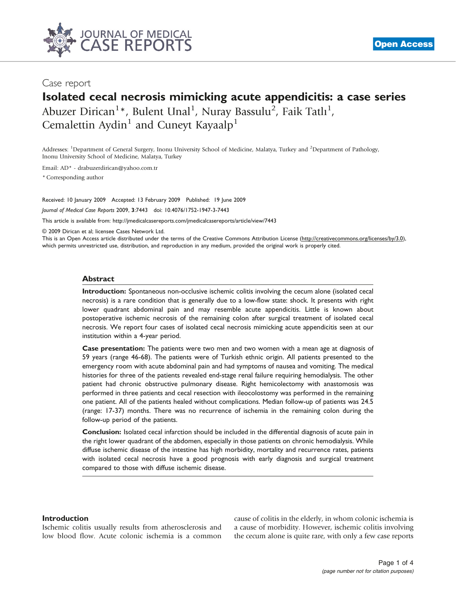

### Case report

# Isolated cecal necrosis mimicking acute appendicitis: a case series Abuzer Dirican<sup>1</sup>\*, Bulent Unal<sup>1</sup>, Nuray Bassulu<sup>2</sup>, Faik Tatlı<sup>1</sup>, Cemalettin Aydin<sup>1</sup> and Cuneyt Kayaalp<sup>1</sup>

Addresses: <sup>1</sup>Department of General Surgery, Inonu University School of Medicine, Malatya, Turkey and <sup>2</sup>Department of Pathology, Inonu University School of Medicine, Malatya, Turkey

Email: AD\* - drabuzerdirican@yahoo.com.tr

\* Corresponding author

Received: 10 January 2009 Accepted: 13 February 2009 Published: 19 June 2009 Journal of Medical Case Reports 2009, 3:7443 doi: 10.4076/1752-1947-3-7443 This article is available from:<http://jmedicalcasereports.com/jmedicalcasereports/article/view/7443>

© 2009 Dirican et al; licensee Cases Network Ltd.

This is an Open Access article distributed under the terms of the Creative Commons Attribution License [\(http://creativecommons.org/licenses/by/3.0\)](http://creativecommons.org/licenses/by/3.0), which permits unrestricted use, distribution, and reproduction in any medium, provided the original work is properly cited.

#### Abstract

Introduction: Spontaneous non-occlusive ischemic colitis involving the cecum alone (isolated cecal necrosis) is a rare condition that is generally due to a low-flow state: shock. It presents with right lower quadrant abdominal pain and may resemble acute appendicitis. Little is known about postoperative ischemic necrosis of the remaining colon after surgical treatment of isolated cecal necrosis. We report four cases of isolated cecal necrosis mimicking acute appendicitis seen at our institution within a 4-year period.

Case presentation: The patients were two men and two women with a mean age at diagnosis of 59 years (range 46-68). The patients were of Turkish ethnic origin. All patients presented to the emergency room with acute abdominal pain and had symptoms of nausea and vomiting. The medical histories for three of the patients revealed end-stage renal failure requiring hemodialysis. The other patient had chronic obstructive pulmonary disease. Right hemicolectomy with anastomosis was performed in three patients and cecal resection with ileocolostomy was performed in the remaining one patient. All of the patients healed without complications. Median follow-up of patients was 24.5 (range: 17-37) months. There was no recurrence of ischemia in the remaining colon during the follow-up period of the patients.

Conclusion: Isolated cecal infarction should be included in the differential diagnosis of acute pain in the right lower quadrant of the abdomen, especially in those patients on chronic hemodialysis. While diffuse ischemic disease of the intestine has high morbidity, mortality and recurrence rates, patients with isolated cecal necrosis have a good prognosis with early diagnosis and surgical treatment compared to those with diffuse ischemic disease.

#### Introduction

Ischemic colitis usually results from atherosclerosis and low blood flow. Acute colonic ischemia is a common

cause of colitis in the elderly, in whom colonic ischemia is a cause of morbidity. However, ischemic colitis involving the cecum alone is quite rare, with only a few case reports

**[Open Access](http://jmedicalcasereports.com/jmedicalcasereports/pages/view/faq)**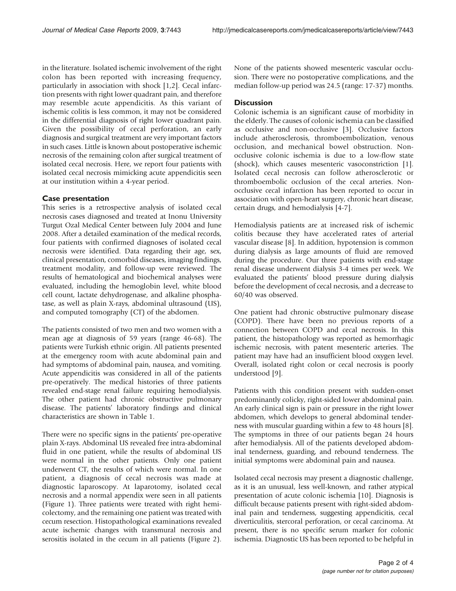in the literature. Isolated ischemic involvement of the right colon has been reported with increasing frequency, particularly in association with shock [[1,2\]](#page-3-0). Cecal infarction presents with right lower quadrant pain, and therefore may resemble acute appendicitis. As this variant of ischemic colitis is less common, it may not be considered in the differential diagnosis of right lower quadrant pain. Given the possibility of cecal perforation, an early diagnosis and surgical treatment are very important factors in such cases. Little is known about postoperative ischemic necrosis of the remaining colon after surgical treatment of isolated cecal necrosis. Here, we report four patients with isolated cecal necrosis mimicking acute appendicitis seen at our institution within a 4-year period.

#### Case presentation

This series is a retrospective analysis of isolated cecal necrosis cases diagnosed and treated at Inonu University Turgut Ozal Medical Center between July 2004 and June 2008. After a detailed examination of the medical records, four patients with confirmed diagnoses of isolated cecal necrosis were identified. Data regarding their age, sex, clinical presentation, comorbid diseases, imaging findings, treatment modality, and follow-up were reviewed. The results of hematological and biochemical analyses were evaluated, including the hemoglobin level, white blood cell count, lactate dehydrogenase, and alkaline phosphatase, as well as plain X-rays, abdominal ultrasound (US), and computed tomography (CT) of the abdomen.

The patients consisted of two men and two women with a mean age at diagnosis of 59 years (range 46-68). The patients were Turkish ethnic origin. All patients presented at the emergency room with acute abdominal pain and had symptoms of abdominal pain, nausea, and vomiting. Acute appendicitis was considered in all of the patients pre-operatively. The medical histories of three patients revealed end-stage renal failure requiring hemodialysis. The other patient had chronic obstructive pulmonary disease. The patients' laboratory findings and clinical characteristics are shown in [Table 1](#page-2-0).

There were no specific signs in the patients' pre-operative plain X-rays. Abdominal US revealed free intra-abdominal fluid in one patient, while the results of abdominal US were normal in the other patients. Only one patient underwent CT, the results of which were normal. In one patient, a diagnosis of cecal necrosis was made at diagnostic laparoscopy. At laparotomy, isolated cecal necrosis and a normal appendix were seen in all patients ([Figure 1\)](#page-2-0). Three patients were treated with right hemicolectomy, and the remaining one patient was treated with cecum resection. Histopathological examinations revealed acute ischemic changes with transmural necrosis and serositis isolated in the cecum in all patients [\(Figure 2](#page-2-0)).

None of the patients showed mesenteric vascular occlusion. There were no postoperative complications, and the median follow-up period was 24.5 (range: 17-37) months.

#### **Discussion**

Colonic ischemia is an significant cause of morbidity in the elderly. The causes of colonic ischemia can be classified as occlusive and non-occlusive [[3](#page-3-0)]. Occlusive factors include atherosclerosis, thromboembolization, venous occlusion, and mechanical bowel obstruction. Nonocclusive colonic ischemia is due to a low-flow state (shock), which causes mesenteric vasoconstriction [\[1\]](#page-3-0). Isolated cecal necrosis can follow atherosclerotic or thromboembolic occlusion of the cecal arteries. Nonocclusive cecal infarction has been reported to occur in association with open-heart surgery, chronic heart disease, certain drugs, and hemodialysis [[4-7\]](#page-3-0).

Hemodialysis patients are at increased risk of ischemic colitis because they have accelerated rates of arterial vascular disease [[8\]](#page-3-0). In addition, hypotension is common during dialysis as large amounts of fluid are removed during the procedure. Our three patients with end-stage renal disease underwent dialysis 3-4 times per week. We evaluated the patients' blood pressure during dialysis before the development of cecal necrosis, and a decrease to 60/40 was observed.

One patient had chronic obstructive pulmonary disease (COPD). There have been no previous reports of a connection between COPD and cecal necrosis. In this patient, the histopathology was reported as hemorrhagic ischemic necrosis, with patent mesenteric arteries. The patient may have had an insufficient blood oxygen level. Overall, isolated right colon or cecal necrosis is poorly understood [[9](#page-3-0)].

Patients with this condition present with sudden-onset predominantly colicky, right-sided lower abdominal pain. An early clinical sign is pain or pressure in the right lower abdomen, which develops to general abdominal tenderness with muscular guarding within a few to 48 hours [\[8\]](#page-3-0). The symptoms in three of our patients began 24 hours after hemodialysis. All of the patients developed abdominal tenderness, guarding, and rebound tenderness. The initial symptoms were abdominal pain and nausea.

Isolated cecal necrosis may present a diagnostic challenge, as it is an unusual, less well-known, and rather atypical presentation of acute colonic ischemia [[10](#page-3-0)]. Diagnosis is difficult because patients present with right-sided abdominal pain and tenderness, suggesting appendicitis, cecal diverticulitis, stercoral perforation, or cecal carcinoma. At present, there is no specific serum marker for colonic ischemia. Diagnostic US has been reported to be helpful in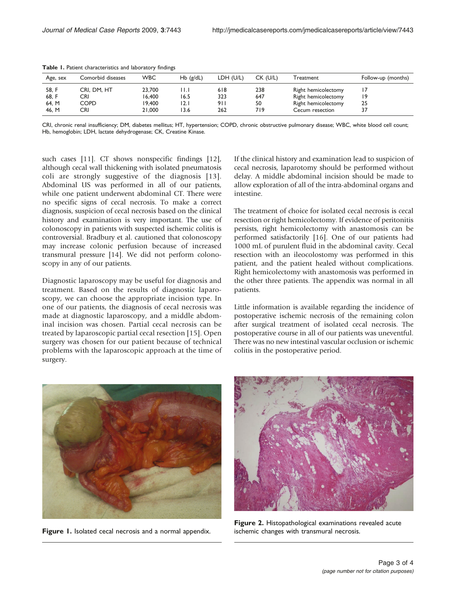| Age, sex | Comorbid diseases | <b>WBC</b> | $Hb$ (g/dL) | LDH (U/L) | CK (U/L) | Treatment           | Follow-up (months) |
|----------|-------------------|------------|-------------|-----------|----------|---------------------|--------------------|
| 58, F    | CRI, DM, HT       | 23,700     | .           | 618       | 238      | Right hemicolectomy |                    |
| 68, F    | CRI               | 6.400      | 16.5        | 323       | 647      | Right hemicolectomy |                    |
| 64, M    | <b>COPD</b>       | 19.400     | 12.         | 9 I I     | 50       | Right hemicolectomy | 25                 |
| 46. M    | CRI               | 21.000     | 13.6        | 262       | 719      | Cecum resection     | 37                 |

<span id="page-2-0"></span>Table 1. Patient characteristics and laboratory findings

CRI, chronic renal insufficiency; DM, diabetes mellitus; HT, hypertension; COPD, chronic obstructive pulmonary disease; WBC, white blood cell count; Hb, hemoglobin; LDH, lactate dehydrogenase; CK, Creatine Kinase.

such cases [[11\]](#page-3-0). CT shows nonspecific findings [\[12\]](#page-3-0), although cecal wall thickening with isolated pneumatosis coli are strongly suggestive of the diagnosis [\[13\]](#page-3-0). Abdominal US was performed in all of our patients, while one patient underwent abdominal CT. There were no specific signs of cecal necrosis. To make a correct diagnosis, suspicion of cecal necrosis based on the clinical history and examination is very important. The use of colonoscopy in patients with suspected ischemic colitis is controversial. Bradbury et al. cautioned that colonoscopy may increase colonic perfusion because of increased transmural pressure [\[14\]](#page-3-0). We did not perform colonoscopy in any of our patients.

Diagnostic laparoscopy may be useful for diagnosis and treatment. Based on the results of diagnostic laparoscopy, we can choose the appropriate incision type. In one of our patients, the diagnosis of cecal necrosis was made at diagnostic laparoscopy, and a middle abdominal incision was chosen. Partial cecal necrosis can be treated by laparoscopic partial cecal resection [\[15](#page-3-0)]. Open surgery was chosen for our patient because of technical problems with the laparoscopic approach at the time of surgery.

If the clinical history and examination lead to suspicion of cecal necrosis, laparotomy should be performed without delay. A middle abdominal incision should be made to allow exploration of all of the intra-abdominal organs and intestine.

The treatment of choice for isolated cecal necrosis is cecal resection or right hemicolectomy. If evidence of peritonitis persists, right hemicolectomy with anastomosis can be performed satisfactorily [[16\]](#page-3-0). One of our patients had 1000 mL of purulent fluid in the abdominal cavity. Cecal resection with an ileocolostomy was performed in this patient, and the patient healed without complications. Right hemicolectomy with anastomosis was performed in the other three patients. The appendix was normal in all patients.

Little information is available regarding the incidence of postoperative ischemic necrosis of the remaining colon after surgical treatment of isolated cecal necrosis. The postoperative course in all of our patients was uneventful. There was no new intestinal vascular occlusion or ischemic colitis in the postoperative period.



Figure 1. Isolated cecal necrosis and a normal appendix.



Figure 2. Histopathological examinations revealed acute ischemic changes with transmural necrosis.